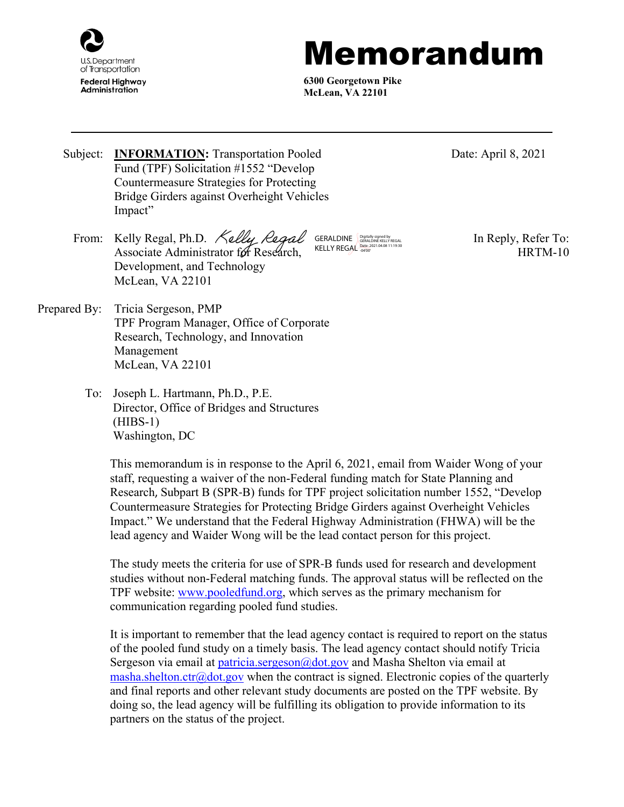

## Memorandum

**6300 Georgetown Pike McLean, VA 22101**

Subject: **INFORMATION:** Transportation Pooled Fund (TPF) Solicitation #1552 "Develop Countermeasure Strategies for Protecting Bridge Girders against Overheight Vehicles

Impact" From: Kelly Regal, Ph.D. *Kelly Regal* GERALDINE SURPOUR RESERVED In Reply, Refer To: Associate Administrator for Research, Development, and Technology GERALDINE GERALDINE KELLY REGAL KELLY REGAL Date: 2021.04.08 11:19:30

Date: April 8, 2021

HRTM-10

Prepared By: Tricia Sergeson, PMP TPF Program Manager, Office of Corporate Research, Technology, and Innovation Management McLean, VA 22101

McLean, VA 22101

To: Joseph L. Hartmann, Ph.D., P.E. Director, Office of Bridges and Structures (HIBS-1) Washington, DC

> This memorandum is in response to the April 6, 2021, email from Waider Wong of your staff, requesting a waiver of the non-Federal funding match for State Planning and Research, Subpart B (SPR-B) funds for TPF project solicitation number 1552, "Develop Countermeasure Strategies for Protecting Bridge Girders against Overheight Vehicles Impact." We understand that the Federal Highway Administration (FHWA) will be the lead agency and Waider Wong will be the lead contact person for this project.

> The study meets the criteria for use of SPR-B funds used for research and development studies without non-Federal matching funds. The approval status will be reflected on the TPF website: [www.pooledfund.org,](http://www.pooledfund.org/) which serves as the primary mechanism for communication regarding pooled fund studies.

It is important to remember that the lead agency contact is required to report on the status of the pooled fund study on a timely basis. The lead agency contact should notify Tricia Sergeson via email at [patricia.sergeson@dot.gov](mailto:patricia.sergeson@dot.gov) and Masha Shelton via email at [masha.shelton.ctr@dot.gov](mailto:masha.shelton.ctr@dot.gov) when the contract is signed. Electronic copies of the quarterly and final reports and other relevant study documents are posted on the TPF website. By doing so, the lead agency will be fulfilling its obligation to provide information to its partners on the status of the project.